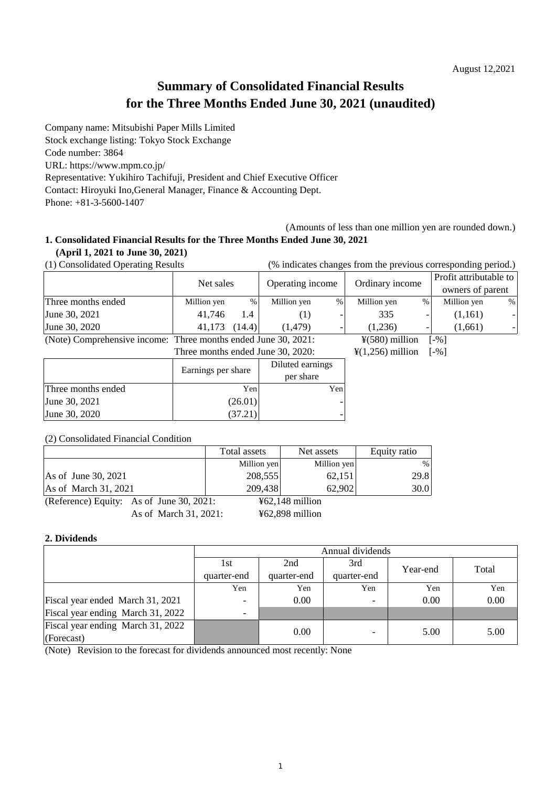## **Summary of Consolidated Financial Results for the Three Months Ended June 30, 2021 (unaudited)**

Company name: Mitsubishi Paper Mills Limited

Stock exchange listing: Tokyo Stock Exchange

Code number: 3864

URL: <https://www.mpm.co.jp/>

Representative: Yukihiro Tachifuji, President and Chief Executive Officer

Contact: Hiroyuki Ino,General Manager, Finance & Accounting Dept.

Phone: +81-3-5600-1407

(Amounts of less than one million yen are rounded down.)

# **1. Consolidated Financial Results for the Three Months Ended June 30, 2021**

**(April 1, 2021 to June 30, 2021)**

(1) Consolidated Operating Results (% indicates changes from the previous corresponding period.)

|                                                                | Net sales   |       |                                   |                  | Ordinary income              |   | Profit attributable to |   |
|----------------------------------------------------------------|-------------|-------|-----------------------------------|------------------|------------------------------|---|------------------------|---|
|                                                                |             |       |                                   | Operating income |                              |   | owners of parent       |   |
| Three months ended                                             | Million yen | %     | Million yen                       | $\%$             | Million yen                  | % | Million yen            | % |
| June 30, 2021                                                  | 41.746      | 1.4   | (1)                               |                  | 335                          |   | (1,161)                |   |
| June 30, 2020                                                  | 41.173      | 14.4) | (1.479)                           |                  | (1.236)                      | - | (1,661)                |   |
| (Note) Comprehensive income: Three months ended June 30, 2021: |             |       |                                   |                  | $\frac{1}{2}(580)$ million   |   | $\lceil -\% \rceil$    |   |
|                                                                |             |       | Three months ended June 30, 2020: |                  | $\frac{1}{2}(1,256)$ million |   | $\lceil -\% \rceil$    |   |

|                    | Earnings per share | Diluted earnings<br>per share |
|--------------------|--------------------|-------------------------------|
| Three months ended | Yen                | Yen                           |
| June 30, 2021      | (26.01)            |                               |
| June 30, 2020      | (37.21             |                               |

#### (2) Consolidated Financial Condition

|                                          | Total assets | Net assets                           | Equity ratio |
|------------------------------------------|--------------|--------------------------------------|--------------|
|                                          | Million yen  | Million yen                          | $\%$         |
| As of June 30, $2021$                    | 208,555      | 62,151                               | 29.8         |
| As of March 31, 2021                     | 209,438      | 62,902                               | 30.0         |
| (Reference) Equity: As of June 30, 2021: |              | $\text{\textsterling}62,148$ million |              |
| As of March 31, 2021:                    |              | $462,898$ million                    |              |

#### **2. Dividends**

|                                   | Annual dividends              |             |             |      |       |  |
|-----------------------------------|-------------------------------|-------------|-------------|------|-------|--|
|                                   | 2nd<br>3rd<br>1st<br>Year-end |             |             |      | Total |  |
|                                   | quarter-end                   | quarter-end | quarter-end |      |       |  |
|                                   | Yen                           | Yen         | Yen         | Yen  | Yen   |  |
| Fiscal year ended March 31, 2021  |                               | 0.00        |             | 0.00 | 0.00  |  |
| Fiscal year ending March 31, 2022 | $\overline{\phantom{0}}$      |             |             |      |       |  |
| Fiscal year ending March 31, 2022 |                               | 0.00        |             | 5.00 |       |  |
| (Forecast)                        |                               |             |             |      | 5.00  |  |

(Note) Revision to the forecast for dividends announced most recently: None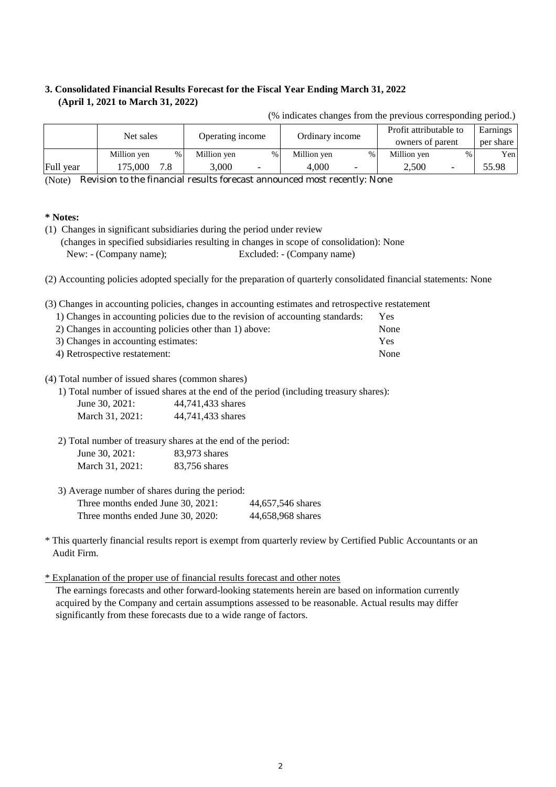#### **3. Consolidated Financial Results Forecast for the Fiscal Year Ending March 31, 2022 (April 1, 2021 to March 31, 2022)**

| Net sales |             | Operating income |             | Ordinary income          |             | Profit attributable to   |                  | Earnings                 |           |
|-----------|-------------|------------------|-------------|--------------------------|-------------|--------------------------|------------------|--------------------------|-----------|
|           |             |                  |             |                          |             |                          | owners of parent |                          | per share |
|           | Million yen | $\%$             | Million yen | $\%$                     | Million yen | %                        | Million yen      | $\%$                     | Yen       |
| Full year | 175,000     | 7.8              | 3,000       | $\overline{\phantom{0}}$ | 4.000       | $\overline{\phantom{0}}$ | 2.500            | $\overline{\phantom{0}}$ | 55.98     |

(% indicates changes from the previous corresponding period.)

(Note) Revision to the financial results forecast announced most recently: None

#### **\* Notes:**

(1) Changes in significant subsidiaries during the period under review (changes in specified subsidiaries resulting in changes in scope of consolidation): None New: - (Company name); Excluded: - (Company name)

(2) Accounting policies adopted specially for the preparation of quarterly consolidated financial statements: None

(3) Changes in accounting policies, changes in accounting estimates and retrospective restatement

| 1) Changes in accounting policies due to the revision of accounting standards: | Yes  |
|--------------------------------------------------------------------------------|------|
| 2) Changes in accounting policies other than 1) above:                         | None |
| 3) Changes in accounting estimates:                                            | Yes  |
| 4) Retrospective restatement:                                                  | None |

(4) Total number of issued shares (common shares)

1) Total number of issued shares at the end of the period (including treasury shares):

| June 30, 2021:  | 44,741,433 shares |
|-----------------|-------------------|
| March 31, 2021: | 44,741,433 shares |

2) Total number of treasury shares at the end of the period: June 30, 2021: 83,973 shares March 31, 2021: 83,756 shares

3) Average number of shares during the period:

| Three months ended June 30, 2021: | 44,657,546 shares |
|-----------------------------------|-------------------|
| Three months ended June 30, 2020: | 44,658,968 shares |

\* This quarterly financial results report is exempt from quarterly review by Certified Public Accountants or an Audit Firm.

\* Explanation of the proper use of financial results forecast and other notes

acquired by the Company and certain assumptions assessed to be reasonable. Actual results may differ significantly from these forecasts due to a wide range of factors. The earnings forecasts and other forward-looking statements herein are based on information currently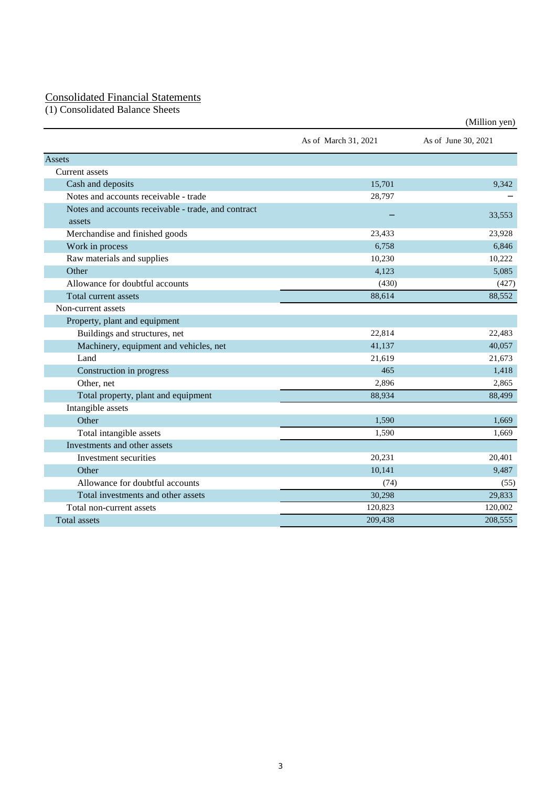#### Consolidated Financial Statements

(1) Consolidated Balance Sheets

|                                                               |                      | (Million yen)       |
|---------------------------------------------------------------|----------------------|---------------------|
|                                                               | As of March 31, 2021 | As of June 30, 2021 |
| Assets                                                        |                      |                     |
| <b>Current</b> assets                                         |                      |                     |
| Cash and deposits                                             | 15,701               | 9,342               |
| Notes and accounts receivable - trade                         | 28,797               |                     |
| Notes and accounts receivable - trade, and contract<br>assets |                      | 33,553              |
| Merchandise and finished goods                                | 23,433               | 23,928              |
| Work in process                                               | 6,758                | 6,846               |
| Raw materials and supplies                                    | 10,230               | 10,222              |
| Other                                                         | 4,123                | 5,085               |
| Allowance for doubtful accounts                               | (430)                | (427)               |
| Total current assets                                          | 88,614               | 88,552              |
| Non-current assets                                            |                      |                     |
| Property, plant and equipment                                 |                      |                     |
| Buildings and structures, net                                 | 22,814               | 22,483              |
| Machinery, equipment and vehicles, net                        | 41,137               | 40,057              |
| Land                                                          | 21,619               | 21,673              |
| Construction in progress                                      | 465                  | 1,418               |
| Other, net                                                    | 2,896                | 2.865               |
| Total property, plant and equipment                           | 88,934               | 88,499              |
| Intangible assets                                             |                      |                     |
| Other                                                         | 1,590                | 1.669               |
| Total intangible assets                                       | 1,590                | 1,669               |
| Investments and other assets                                  |                      |                     |
| Investment securities                                         | 20,231               | 20,401              |
| Other                                                         | 10,141               | 9,487               |
| Allowance for doubtful accounts                               | (74)                 | (55)                |
| Total investments and other assets                            | 30,298               | 29,833              |
| Total non-current assets                                      | 120,823              | 120,002             |
| <b>Total assets</b>                                           | 209,438              | 208,555             |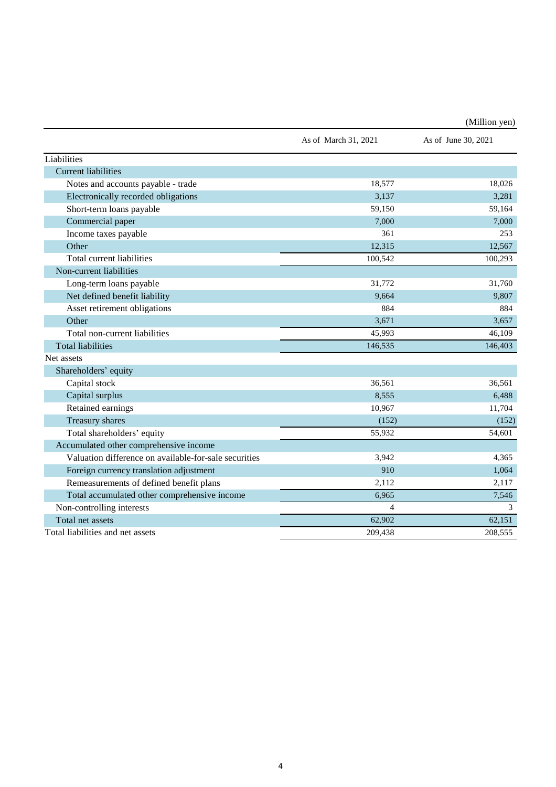|                                                       |                      | (Million yen)       |
|-------------------------------------------------------|----------------------|---------------------|
|                                                       | As of March 31, 2021 | As of June 30, 2021 |
| Liabilities                                           |                      |                     |
| <b>Current liabilities</b>                            |                      |                     |
| Notes and accounts payable - trade                    | 18,577               | 18,026              |
| Electronically recorded obligations                   | 3,137                | 3,281               |
| Short-term loans payable                              | 59,150               | 59,164              |
| Commercial paper                                      | 7,000                | 7,000               |
| Income taxes payable                                  | 361                  | 253                 |
| Other                                                 | 12,315               | 12,567              |
| Total current liabilities                             | 100,542              | 100,293             |
| Non-current liabilities                               |                      |                     |
| Long-term loans payable                               | 31,772               | 31,760              |
| Net defined benefit liability                         | 9,664                | 9,807               |
| Asset retirement obligations                          | 884                  | 884                 |
| Other                                                 | 3,671                | 3.657               |
| Total non-current liabilities                         | 45,993               | 46,109              |
| <b>Total liabilities</b>                              | 146,535              | 146,403             |
| Net assets                                            |                      |                     |
| Shareholders' equity                                  |                      |                     |
| Capital stock                                         | 36,561               | 36,561              |
| Capital surplus                                       | 8,555                | 6,488               |
| Retained earnings                                     | 10,967               | 11,704              |
| Treasury shares                                       | (152)                | (152)               |
| Total shareholders' equity                            | 55,932               | 54,601              |
| Accumulated other comprehensive income                |                      |                     |
| Valuation difference on available-for-sale securities | 3,942                | 4,365               |
| Foreign currency translation adjustment               | 910                  | 1,064               |
| Remeasurements of defined benefit plans               | 2,112                | 2,117               |
| Total accumulated other comprehensive income          | 6,965                | 7,546               |
| Non-controlling interests                             | $\overline{4}$       | 3                   |
| Total net assets                                      | 62,902               | 62,151              |
| Total liabilities and net assets                      | 209.438              | 208.555             |

 $\overline{4}$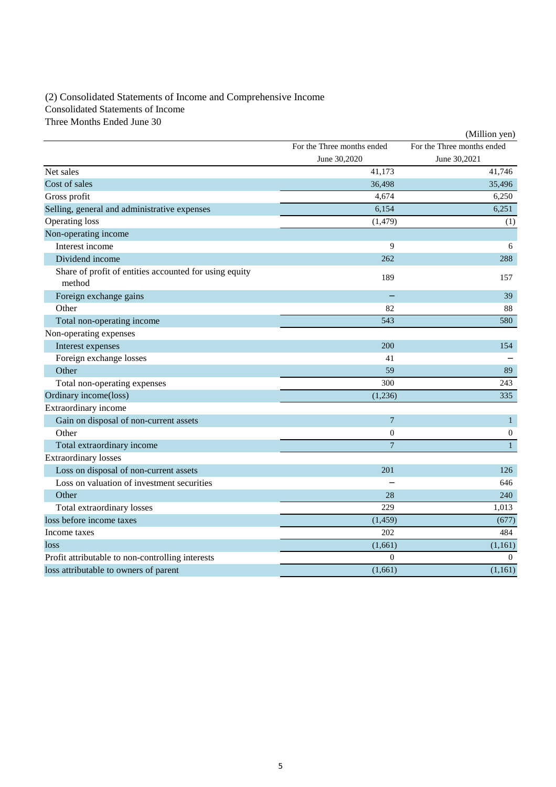### (2) Consolidated Statements of Income and Comprehensive Income Consolidated Statements of Income

Three Months Ended June 30

|                                                                  |                            | (Million yen)              |
|------------------------------------------------------------------|----------------------------|----------------------------|
|                                                                  | For the Three months ended | For the Three months ended |
|                                                                  | June 30,2020               | June 30,2021               |
| Net sales                                                        | 41,173                     | 41,746                     |
| Cost of sales                                                    | 36,498                     | 35,496                     |
| Gross profit                                                     | 4,674                      | 6,250                      |
| Selling, general and administrative expenses                     | 6,154                      | 6.251                      |
| <b>Operating loss</b>                                            | (1, 479)                   | (1)                        |
| Non-operating income                                             |                            |                            |
| Interest income                                                  | 9                          | 6                          |
| Dividend income                                                  | 262                        | 288                        |
| Share of profit of entities accounted for using equity<br>method | 189                        | 157                        |
| Foreign exchange gains                                           |                            | 39                         |
| Other                                                            | 82                         | 88                         |
| Total non-operating income                                       | 543                        | 580                        |
| Non-operating expenses                                           |                            |                            |
| Interest expenses                                                | 200                        | 154                        |
| Foreign exchange losses                                          | 41                         |                            |
| Other                                                            | 59                         | 89                         |
| Total non-operating expenses                                     | 300                        | 243                        |
| Ordinary income(loss)                                            | (1,236)                    | 335                        |
| Extraordinary income                                             |                            |                            |
| Gain on disposal of non-current assets                           | $\overline{7}$             | $\mathbf{1}$               |
| Other                                                            | $\boldsymbol{0}$           | $\mathbf{0}$               |
| Total extraordinary income                                       | $\overline{7}$             | $\mathbf{1}$               |
| <b>Extraordinary losses</b>                                      |                            |                            |
| Loss on disposal of non-current assets                           | 201                        | 126                        |
| Loss on valuation of investment securities                       |                            | 646                        |
| Other                                                            | 28                         | 240                        |
| Total extraordinary losses                                       | 229                        | 1,013                      |
| loss before income taxes                                         | (1, 459)                   | (677)                      |
| Income taxes                                                     | 202                        | 484                        |
| loss                                                             | (1,661)                    | (1,161)                    |
| Profit attributable to non-controlling interests                 | $\mathbf{0}$               | $\theta$                   |
| loss attributable to owners of parent                            | (1,661)                    | (1,161)                    |